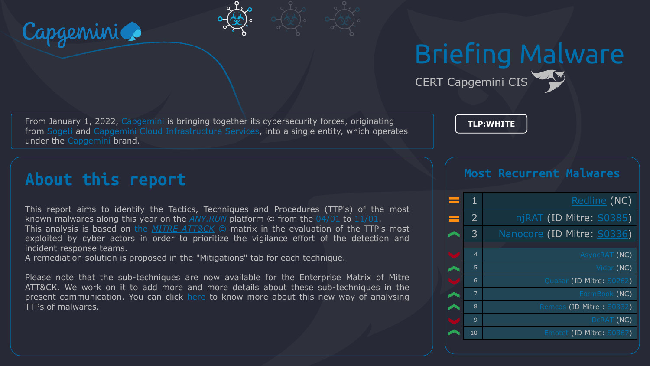

# Briefing Malware

CERT Capgemini CIS

**TLP:WHITE**

From January 1, 2022, Capgemini is bringing together its cybersecurity forces, originating from Sogeti and Capgemini Cloud Infrastructure Services, into a single entity, which operates under the Capgemini brand.

**About this report**

This report aims to identify the Tactics, Techniques and Procedures (TTP's) of the most known malwares along this year on the *[ANY.RUN](https://any.run/malware-trends/)* platform © from the 04/01 to 11/01. This analysis is based on the *MITRE [ATT&CK](https://attack.mitre.org/matrices/enterprise/)* © matrix in the evaluation of the TTP's most exploited by cyber actors in order to prioritize the vigilance effort of the detection and incident response teams.

A remediation solution is proposed in the "Mitigations" tab for each technique.

Please note that the sub-techniques are now available for the Enterprise Matrix of Mitre ATT&CK. We work on it to add more and more details about these sub-techniques in the present communication. You can click [here](https://www.tripwire.com/state-of-security/mitre-framework/mitre-attck-update-sub-techniques-july-2020/) to know more about this new way of analysing TTPs of malwares.

#### **Most Recurrent Malwares**

| 1              | <u>Redline</u> (NC)        |
|----------------|----------------------------|
| $\overline{2}$ | njRAT (ID Mitre: S0385)    |
| $\overline{3}$ | Nanocore (ID Mitre: S0336) |
|                |                            |
| $\overline{4}$ | <b>AsyncRAT (NC)</b>       |
| 5              | $Vidar$ (NC)               |
| 6              | Quasar (ID Mitre: S0262)   |
| $\overline{7}$ | FormBook (NC)              |
| 8              | Remcos (ID Mitre: S0332)   |
| 9              | DCRAT (NC)                 |
| 10             | Emotet (ID Mitre: S0367)   |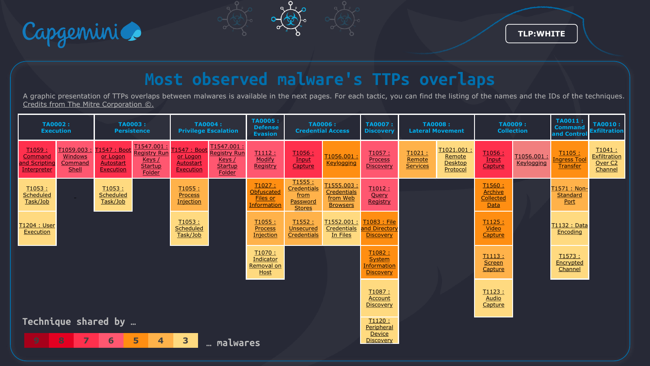

# **Most observed malware's TTPs overlaps**

A graphic presentation of TTPs overlaps between malwares is available in the next pages. For each tactic, you can find the listing of the names and the IDs of the techniques. Credits from The Mitre Corporation ©.

| <b>TA0002:</b><br><b>Execution</b>                |                                          | <b>TA0003:</b><br><b>Persistence</b>                    |                                                                               | <b>TA0004:</b><br><b>Privilege Escalation</b>                           |                                                                         | <b>TA0005:</b><br><b>Defense</b><br><b>Evasion</b>            | <b>TA0006:</b><br><b>Credential Access</b>                  |                                                         | <b>TA0007:</b><br><b>Discovery</b>                   | <b>TA0008:</b><br><b>Lateral Movement</b> |                                                    | <b>TA0009:</b><br><b>Collection</b>            |                          | <b>TA0011:</b><br><b>Command</b><br>and Contro         | <b>TA0010:</b><br><b>Exfiltration</b>                          |
|---------------------------------------------------|------------------------------------------|---------------------------------------------------------|-------------------------------------------------------------------------------|-------------------------------------------------------------------------|-------------------------------------------------------------------------|---------------------------------------------------------------|-------------------------------------------------------------|---------------------------------------------------------|------------------------------------------------------|-------------------------------------------|----------------------------------------------------|------------------------------------------------|--------------------------|--------------------------------------------------------|----------------------------------------------------------------|
| T1059:<br>Command<br>and Scripting<br>Interpreter | T1059.003<br>Windows<br>Command<br>Shell | T1547: Boo<br>or Logon<br>Autostart<br><b>Execution</b> | T1547.001<br><b>Registry Run</b><br><u>Keys /</u><br><b>Startup</b><br>Folder | <u> 1547 : Boot</u><br><u>or Logon</u><br>Autostart<br><b>Execution</b> | T1547.001:<br><b>Registry Run</b><br>Keys /<br><b>Startup</b><br>Folder | T1112:<br>Modify<br>Registry                                  | T1056 :<br>Input<br>Capture                                 | T1056.001<br><b>Keylogging</b>                          | T1057:<br>Process<br><b>Discovery</b>                | T1021:<br>Remote<br><b>Services</b>       | T1021.001:<br>Remote<br><b>Desktop</b><br>Protocol | T1056 :<br><b>Input</b><br>Capture             | T1056.001:<br>Keylogging | T1105:<br><mark>Ingress Tool</mark><br><b>Transfer</b> | T1041:<br><b>Exfiltration</b><br>Over <sub>C2</sub><br>Channel |
| T1053:<br>Scheduled<br>Task/Job                   | $\sim$                                   | T1053:<br>Scheduled<br>Task/Job                         |                                                                               | T1055:<br><b>Process</b><br>Injection                                   |                                                                         | T1027:<br>Obfuscated<br><b>Files or</b><br><b>Information</b> | T1555 :<br>Credentials<br>from<br>Password<br><b>Stores</b> | T1555.003<br>Credentials<br>from Web<br><b>Browsers</b> | T1012 :<br>Query<br>Registry                         |                                           |                                                    | T1560 :<br><b>Archive</b><br>Collected<br>Data |                          | T1571: Non-<br>Standard<br>Port                        |                                                                |
| T1204 : User<br><b>Execution</b>                  |                                          |                                                         |                                                                               | T1053:<br>Scheduled<br>Task/Job                                         |                                                                         | T1055:<br><b>Process</b><br>Injection                         | T1552 :<br>Unsecured<br>Credentials                         | T1552.001:<br>Credentials<br>In Files                   | T1083 : File<br>and Directory<br><b>Discovery</b>    |                                           |                                                    | T1125:<br>Video<br>Capture                     |                          | T1132 : Data<br>Encoding                               |                                                                |
|                                                   |                                          |                                                         |                                                                               |                                                                         |                                                                         | T1070:<br>Indicator<br>Removal on<br><b>Host</b>              |                                                             |                                                         | T1082 :<br>System<br><b>Information</b><br>Discovery |                                           |                                                    | <u>T1113:</u><br><b>Screen</b><br>Capture      |                          | T1573:<br>Encrypted<br>Channel                         |                                                                |
|                                                   |                                          |                                                         |                                                                               |                                                                         |                                                                         |                                                               |                                                             |                                                         | T1087:<br><b>Account</b><br>Discovery                |                                           |                                                    | T1123:<br><b>Audio</b><br>Capture              |                          |                                                        |                                                                |
| Technique shared by                               |                                          |                                                         |                                                                               |                                                                         |                                                                         | T1120 :<br>Peripheral                                         |                                                             |                                                         |                                                      |                                           |                                                    |                                                |                          |                                                        |                                                                |
| 9                                                 | 8<br>$\overline{ }$                      | 6                                                       | 5<br>$\overline{4}$                                                           | 3                                                                       | malwares                                                                |                                                               |                                                             |                                                         | Device<br><b>Discovery</b>                           |                                           |                                                    |                                                |                          |                                                        |                                                                |